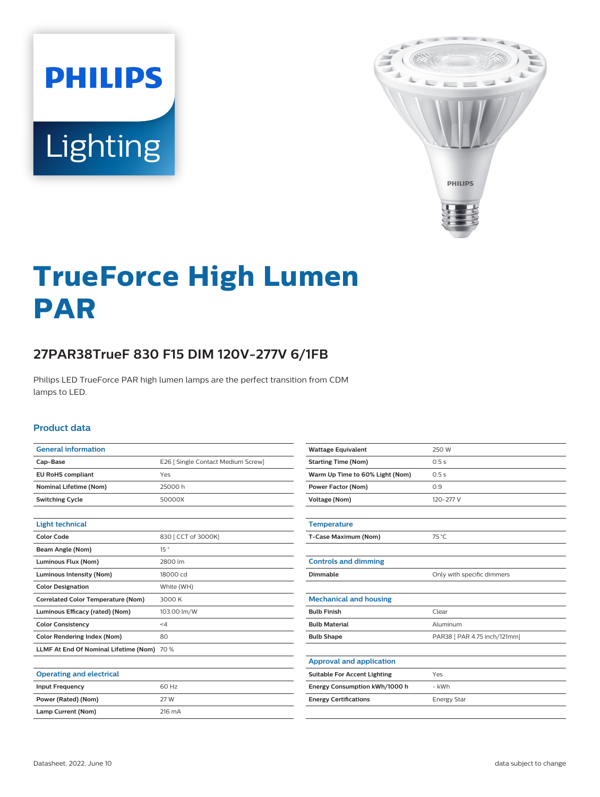



# **TrueForce High Lumen PAR**

# **27PAR38TrueF 830 F15 DIM 120V-277V 6/1FB**

Philips LED TrueForce PAR high lumen lamps are the perfect transition from CDM lamps to LED.

#### **Product data**

| <b>General information</b>                 |                                    |
|--------------------------------------------|------------------------------------|
| Cap-Base                                   | E26   Single Contact Medium Screw] |
| <b>EU RoHS compliant</b>                   | Yes                                |
| <b>Nominal Lifetime (Nom)</b>              | 25000 h                            |
| <b>Switching Cycle</b>                     | 50000X                             |
|                                            |                                    |
| <b>Light technical</b>                     |                                    |
| <b>Color Code</b>                          | 830   CCT of 3000K]                |
| Beam Angle (Nom)                           | 15°                                |
| Luminous Flux (Nom)                        | 2800 lm                            |
| Luminous Intensity (Nom)                   | 18000 cd                           |
| <b>Color Designation</b>                   | White (WH)                         |
| <b>Correlated Color Temperature (Nom)</b>  | 3000 K                             |
| Luminous Efficacy (rated) (Nom)            | 103.00 lm/W                        |
| <b>Color Consistency</b>                   | $\leq 4$                           |
| <b>Color Rendering Index (Nom)</b>         | 80                                 |
| LLMF At End Of Nominal Lifetime (Nom) 70 % |                                    |
|                                            |                                    |
| <b>Operating and electrical</b>            |                                    |
| <b>Input Frequency</b>                     | 60 Hz                              |
| Power (Rated) (Nom)                        | 27 W                               |
| Lamp Current (Nom)                         | 216 mA                             |

| <b>Wattage Equivalent</b>           | 250 W                        |
|-------------------------------------|------------------------------|
| <b>Starting Time (Nom)</b>          | 0.5s                         |
| Warm Up Time to 60% Light (Nom)     | 0.5s                         |
| <b>Power Factor (Nom)</b>           | 0.9                          |
| Voltage (Nom)                       | 120-277 V                    |
|                                     |                              |
| <b>Temperature</b>                  |                              |
| T-Case Maximum (Nom)                | 75 °C                        |
|                                     |                              |
| <b>Controls and dimming</b>         |                              |
| Dimmable                            | Only with specific dimmers   |
|                                     |                              |
| <b>Mechanical and housing</b>       |                              |
| <b>Bulb Finish</b>                  | Clear                        |
| <b>Bulb Material</b>                | Aluminum                     |
| <b>Bulb Shape</b>                   | PAR38 [ PAR 4.75 inch/121mm] |
|                                     |                              |
| <b>Approval and application</b>     |                              |
| <b>Suitable For Accent Lighting</b> | Yes                          |
| Energy Consumption kWh/1000 h       | - kWh                        |
| <b>Energy Certifications</b>        | <b>Energy Star</b>           |
|                                     |                              |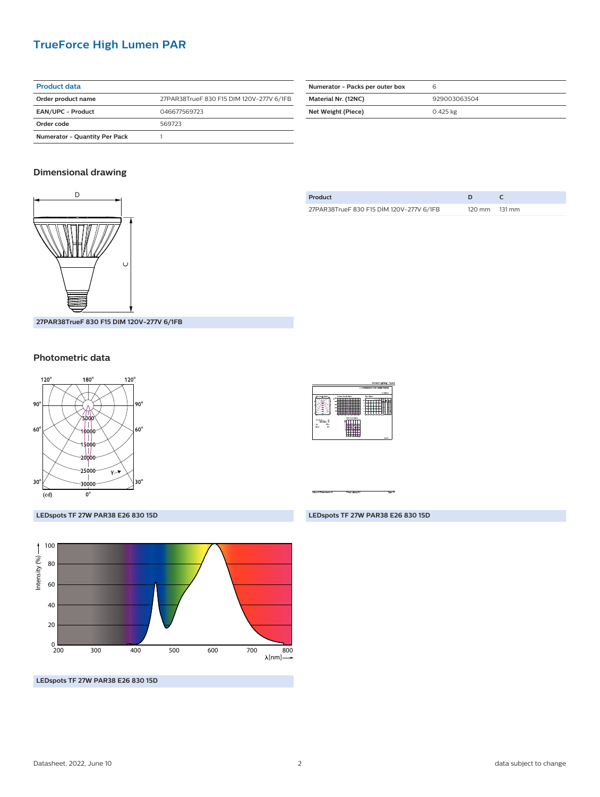### **TrueForce High Lumen PAR**

| <b>Product data</b>                  |                                          |
|--------------------------------------|------------------------------------------|
| Order product name                   | 27PAR38TrueF 830 F15 DIM 120V-277V 6/1FB |
| <b>EAN/UPC - Product</b>             | 046677569723                             |
| Order code                           | 569723                                   |
| <b>Numerator - Quantity Per Pack</b> |                                          |

| Numerator - Packs per outer box |              |
|---------------------------------|--------------|
| Material Nr. (12NC)             | 929003063504 |
| Net Weight (Piece)              | 0.425 kg     |

#### **Dimensional drawing**



**Product D C** 27PAR38TrueF 830 F15 DIM 120V-277V 6/1FB 120 mm 131 mm

**27PAR38TrueF 830 F15 DIM 120V-277V 6/1FB**

#### **Photometric data**





**LEDspots TF 27W PAR38 E26 830 15D**



**LEDspots TF 27W PAR38 E26 830 15D**

#### **LEDspots TF 27W PAR38 E26 830 15D**